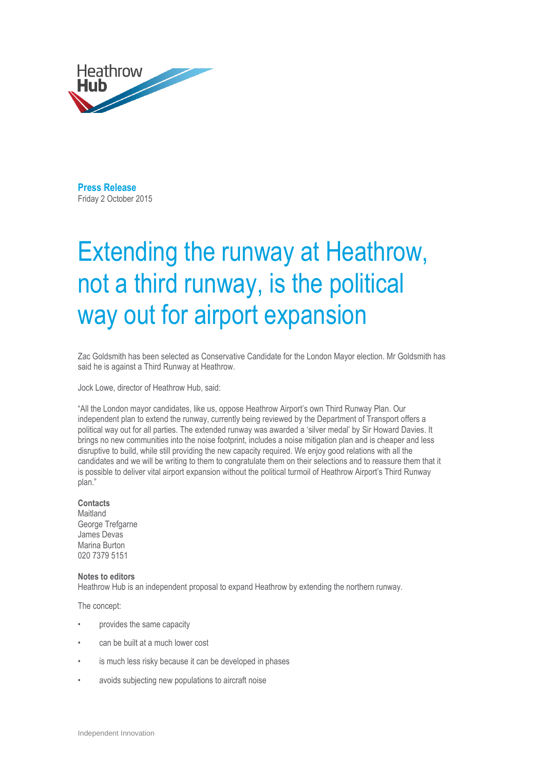

**Press Release**  Friday 2 October 2015

## Extending the runway at Heathrow, not a third runway, is the political way out for airport expansion

Zac Goldsmith has been selected as Conservative Candidate for the London Mayor election. Mr Goldsmith has said he is against a Third Runway at Heathrow.

Jock Lowe, director of Heathrow Hub, said:

"All the London mayor candidates, like us, oppose Heathrow Airport's own Third Runway Plan. Our independent plan to extend the runway, currently being reviewed by the Department of Transport offers a political way out for all parties. The extended runway was awarded a 'silver medal' by Sir Howard Davies. It brings no new communities into the noise footprint, includes a noise mitigation plan and is cheaper and less disruptive to build, while still providing the new capacity required. We enjoy good relations with all the candidates and we will be writing to them to congratulate them on their selections and to reassure them that it is possible to deliver vital airport expansion without the political turmoil of Heathrow Airport's Third Runway plan."

## **Contacts**

Maitland George Trefgarne James Devas Marina Burton 020 7379 5151

## **Notes to editors**

Heathrow Hub is an independent proposal to expand Heathrow by extending the northern runway.

The concept:

- provides the same capacity
- can be built at a much lower cost
- is much less risky because it can be developed in phases
- avoids subjecting new populations to aircraft noise